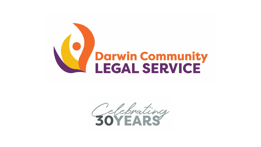

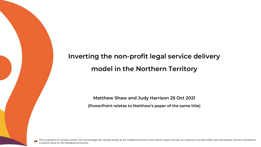#### **Inverting the non-profit legal service delivery model in the Northern Territory**

**Matthew Shaw and Judy Harrison 25 Oct 2021 (PowerPoint relates to Matthew's paper of the same title)**

DCLS operates on Larrakia country. We acknowledge the Larrakia people as the Traditional Owners of the Darwin region and pay our respects to Larrakia elders past and present. We are committed to a positive future for the Aboriginal community.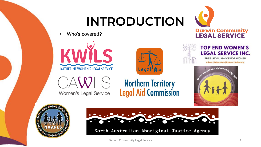## **INTRODUCTION**



Who's covered?



Women's Legal Service



**Northern Territory<br>Legal Aid Commission** 



#### **TOP END WOMEN'S LEGAL SERVICE INC.**

FREE LEGAL ADVICE FOR WOMEN **Advice | Information | Referral | Advocacy** 







North Australian Aboriginal Justice Agency

Darwin Community Legal Service 3 and 3 and 3 and 3 and 3 and 3 and 3 and 3 and 3 and 3 and 3 and 3 and 3 and 3 and 3 and 3 and 3 and 3 and 3 and 3 and 3 and 3 and 3 and 3 and 3 and 3 and 3 and 3 and 3 and 3 and 3 and 3 and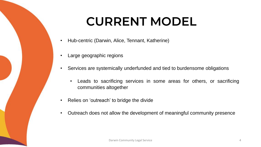## **CURRENT MODEL**

- Hub-centric (Darwin, Alice, Tennant, Katherine)
- Large geographic regions
- Services are systemically underfunded and tied to burdensome obligations
	- Leads to sacrificing services in some areas for others, or sacrificing communities altogether
- Relies on 'outreach' to bridge the divide
- Outreach does not allow the development of meaningful community presence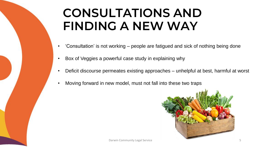#### **CONSULTATIONS AND FINDING A NEW WAY**

- 'Consultation' is not working people are fatigued and sick of nothing being done
- Box of Veggies a powerful case study in explaining why
- Deficit discourse permeates existing approaches unhelpful at best, harmful at worst
- Moving forward in new model, must not fall into these two traps

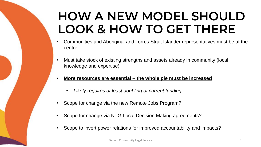### **HOW A NEW MODEL SHOULD LOOK & HOW TO GET THERE**

- Communities and Aboriginal and Torres Strait Islander representatives must be at the centre
- Must take stock of existing strengths and assets already in community (local knowledge and expertise)
- **More resources are essential – the whole pie must be increased**
	- *Likely requires at least doubling of current funding*
- Scope for change via the new Remote Jobs Program?
- Scope for change via NTG Local Decision Making agreements?
- Scope to invert power relations for improved accountability and impacts?